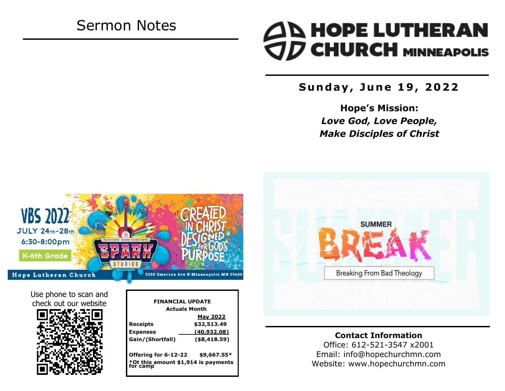# Sermon Notes

# **AN HOPE LUTHERAN<br>OD CHURCH MINNEAPOLIS**

**S u n d a y , J u n e 1 9 , 2 0 2 2**

**Hope's Mission:**  *Love God, Love People, Make Disciples of Christ*



### **Contact Information**

Office: 612-521-3547 x2001 Email: info@hopechurchmn.com Website: www.hopechurchmn.com



Use phone to scan and check out our website



| <b>FINANCIAL UPDATE</b>                         |                      |  |
|-------------------------------------------------|----------------------|--|
|                                                 | <b>Actuals Month</b> |  |
|                                                 | <b>May 2022</b>      |  |
| Receipts                                        | \$32,513.49          |  |
| <b>Expenses</b>                                 | (40, 932.08)         |  |
| Gain/(Shortfall)                                | $($ \$8,418.59)      |  |
| Offering for 6-12-22                            | \$9,667.55*          |  |
| *Ot this amount \$1,914 is payments<br>for camp |                      |  |
|                                                 |                      |  |